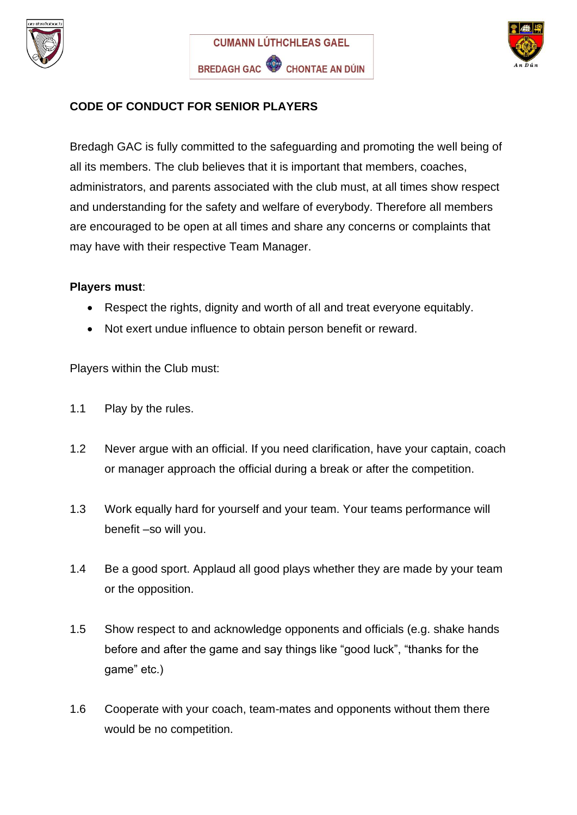





## **CODE OF CONDUCT FOR SENIOR PLAYERS**

Bredagh GAC is fully committed to the safeguarding and promoting the well being of all its members. The club believes that it is important that members, coaches, administrators, and parents associated with the club must, at all times show respect and understanding for the safety and welfare of everybody. Therefore all members are encouraged to be open at all times and share any concerns or complaints that may have with their respective Team Manager.

## **Players must**:

- Respect the rights, dignity and worth of all and treat everyone equitably.
- Not exert undue influence to obtain person benefit or reward.

Players within the Club must:

- 1.1 Play by the rules.
- 1.2 Never argue with an official. If you need clarification, have your captain, coach or manager approach the official during a break or after the competition.
- 1.3 Work equally hard for yourself and your team. Your teams performance will benefit –so will you.
- 1.4 Be a good sport. Applaud all good plays whether they are made by your team or the opposition.
- 1.5 Show respect to and acknowledge opponents and officials (e.g. shake hands before and after the game and say things like "good luck", "thanks for the game" etc.)
- 1.6 Cooperate with your coach, team-mates and opponents without them there would be no competition.